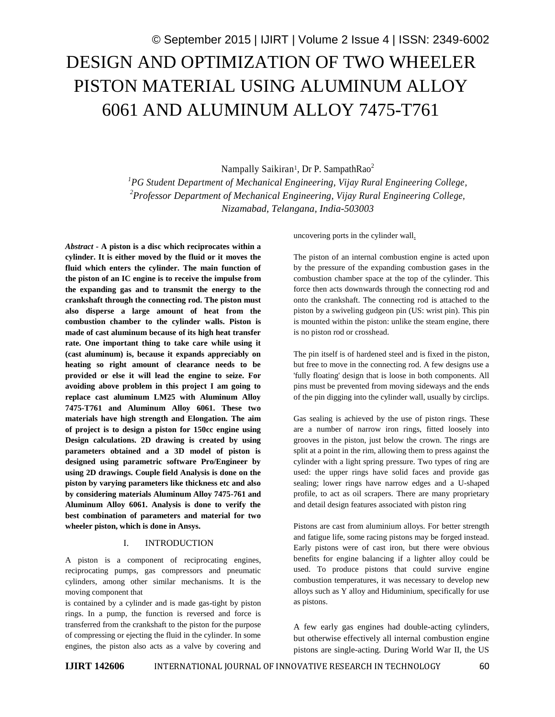Nampally Saikiran<sup>1</sup>, Dr P. SampathRao<sup>2</sup>

*<sup>1</sup>PG Student Department of Mechanical Engineering, Vijay Rural Engineering College, <sup>2</sup>Professor Department of Mechanical Engineering, Vijay Rural Engineering College, Nizamabad, Telangana, India-503003*

*Abstract* **- A piston is a disc which reciprocates within a cylinder. It is either moved by the fluid or it moves the fluid which enters the cylinder. The main function of the piston of an IC engine is to receive the impulse from the expanding gas and to transmit the energy to the crankshaft through the connecting rod. The piston must also disperse a large amount of heat from the combustion chamber to the cylinder walls. Piston is made of cast aluminum because of its high heat transfer rate. One important thing to take care while using it (cast aluminum) is, because it expands appreciably on heating so right amount of clearance needs to be provided or else it will lead the engine to seize. For avoiding above problem in this project I am going to replace cast aluminum LM25 with Aluminum Alloy 7475-T761 and Aluminum Alloy 6061. These two materials have high strength and Elongation. The aim of project is to design a piston for 150cc engine using Design calculations. 2D drawing is created by using parameters obtained and a 3D model of piston is designed using parametric software Pro/Engineer by using 2D drawings. Couple field Analysis is done on the piston by varying parameters like thickness etc and also by considering materials Aluminum Alloy 7475-761 and Aluminum Alloy 6061. Analysis is done to verify the best combination of parameters and material for two wheeler piston, which is done in Ansys.**

### I. INTRODUCTION

A piston is a component of reciprocating engines, reciprocating pumps, gas compressors and pneumatic cylinders, among other similar mechanisms. It is the moving component that

is contained by a cylinder and is made gas-tight by piston rings. In a pump, the function is reversed and force is transferred from the crankshaft to the piston for the purpose of compressing or ejecting the fluid in the cylinder. In some engines, the piston also acts as a valve by covering and uncovering ports in the cylinder wall.

The piston of an internal combustion engine is acted upon by the pressure of the expanding combustion gases in the combustion chamber space at the top of the cylinder. This force then acts downwards through the connecting rod and onto the crankshaft. The connecting rod is attached to the piston by a swiveling gudgeon pin (US: wrist pin). This pin is mounted within the piston: unlike the steam engine, there is no piston rod or crosshead.

The pin itself is of hardened steel and is fixed in the piston, but free to move in the connecting rod. A few designs use a 'fully floating' design that is loose in both components. All pins must be prevented from moving sideways and the ends of the pin digging into the cylinder wall, usually by circlips.

Gas sealing is achieved by the use of piston rings. These are a number of narrow iron rings, fitted loosely into grooves in the piston, just below the crown. The rings are split at a point in the rim, allowing them to press against the cylinder with a light spring pressure. Two types of ring are used: the upper rings have solid faces and provide gas sealing; lower rings have narrow edges and a U-shaped profile, to act as oil scrapers. There are many proprietary and detail design features associated with piston ring

Pistons are cast from aluminium alloys. For better strength and fatigue life, some racing pistons may be forged instead. Early pistons were of cast iron, but there were obvious benefits for engine balancing if a lighter alloy could be used. To produce pistons that could survive engine combustion temperatures, it was necessary to develop new alloys such as Y alloy and Hiduminium, specifically for use as pistons.

A few early gas engines had double-acting cylinders, but otherwise effectively all internal combustion engine pistons are single-acting. During World War II, the US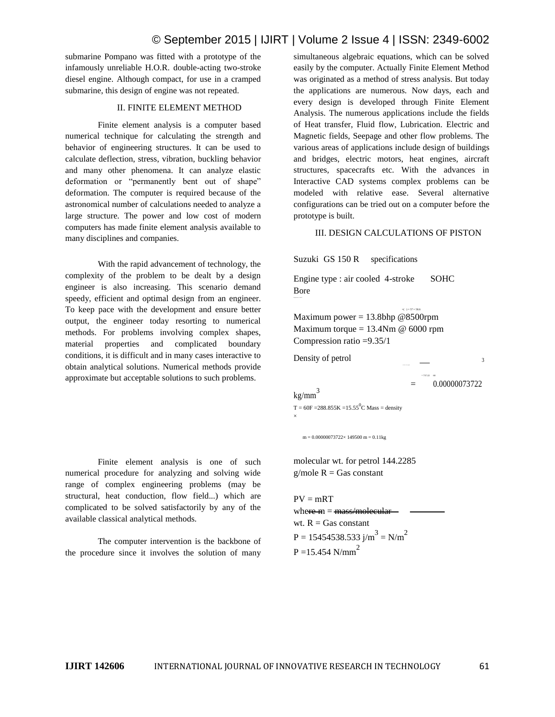# © September 2015 | IJIRT | Volume 2 Issue 4 | ISSN: 2349-6002

submarine Pompano was fitted with a prototype of the infamously unreliable H.O.R. double-acting two-stroke diesel engine. Although compact, for use in a cramped submarine, this design of engine was not repeated.

#### II. FINITE ELEMENT METHOD

Finite element analysis is a computer based numerical technique for calculating the strength and behavior of engineering structures. It can be used to calculate deflection, stress, vibration, buckling behavior and many other phenomena. It can analyze elastic deformation or "permanently bent out of shape" deformation. The computer is required because of the astronomical number of calculations needed to analyze a large structure. The power and low cost of modern computers has made finite element analysis available to many disciplines and companies.

With the rapid advancement of technology, the complexity of the problem to be dealt by a design engineer is also increasing. This scenario demand speedy, efficient and optimal design from an engineer. To keep pace with the development and ensure better output, the engineer today resorting to numerical methods. For problems involving complex shapes, material properties and complicated boundary conditions, it is difficult and in many cases interactive to obtain analytical solutions. Numerical methods provide approximate but acceptable solutions to such problems.

Finite element analysis is one of such numerical procedure for analyzing and solving wide range of complex engineering problems (may be structural, heat conduction, flow field...) which are complicated to be solved satisfactorily by any of the available classical analytical methods.

The computer intervention is the backbone of the procedure since it involves the solution of many simultaneous algebraic equations, which can be solved easily by the computer. Actually Finite Element Method was originated as a method of stress analysis. But today the applications are numerous. Now days, each and every design is developed through Finite Element Analysis. The numerous applications include the fields of Heat transfer, Fluid flow, Lubrication. Electric and Magnetic fields, Seepage and other flow problems. The various areas of applications include design of buildings and bridges, electric motors, heat engines, aircraft structures, spacecrafts etc. With the advances in Interactive CAD systems complex problems can be modeled with relative ease. Several alternative configurations can be tried out on a computer before the prototype is built.

#### III. DESIGN CALCULATIONS OF PISTON

 $\times$ ( ) = 57  $\times$  58.6

Suzuki GS 150 R specifications

Engine type : air cooled 4-stroke SOHC Bore

Maximum power  $= 13.8$ bhp @8500rpm Maximum torque =  $13.4$ Nm @ 6000 rpm Compression ratio =9.35/1

Density of petrol 3

 $= 737.22$  60 = 0.00000073722

 $kg/mm<sup>3</sup>$ 

 $T = 60F = 288.855K = 15.55^0C$  Mass = density ×

 $m = 0.00000073722 \times 149500 \text{ m} = 0.11 \text{kg}$ 

molecular wt. for petrol 144.2285  $g/mole$  R = Gas constant

 $PV = mRT$ where  $m = \frac{mass}{model}$ wt.  $R = Gas constant$  $P = 15454538.533 j/m<sup>3</sup> = N/m<sup>2</sup>$  $P = 15.454$  N/mm<sup>2</sup>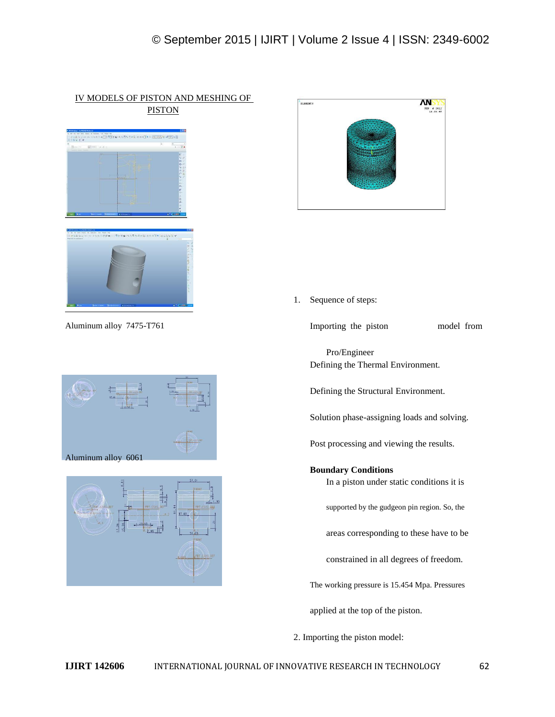### IV MODELS OF PISTON AND MESHING OF PISTON



Aluminum alloy 7475-T761 Importing the piston model from







1. Sequence of steps:

Pro/Engineer Defining the Thermal Environment.

Defining the Structural Environment.

Solution phase-assigning loads and solving.

Post processing and viewing the results.

**Boundary Conditions** In a piston under static conditions it is supported by the gudgeon pin region. So, the areas corresponding to these have to be constrained in all degrees of freedom. The working pressure is 15.454 Mpa. Pressures applied at the top of the piston.

2. Importing the piston model: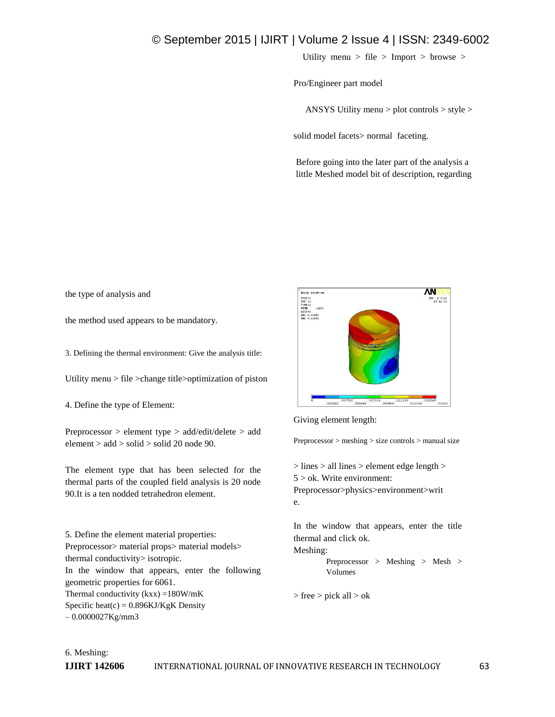# © September 2015 | IJIRT | Volume 2 Issue 4 | ISSN: 2349-6002

Utility menu > file > Import > browse >

Pro/Engineer part model

ANSYS Utility menu > plot controls > style >

solid model facets> normal faceting.

Before going into the later part of the analysis a little Meshed model bit of description, regarding

the type of analysis and

the method used appears to be mandatory.

3. Defining the thermal environment: Give the analysis title:

Utility menu > file >change title>optimization of piston

4. Define the type of Element:

Preprocessor > element type > add/edit/delete > add element > add > solid > solid 20 node 90.

The element type that has been selected for the thermal parts of the coupled field analysis is 20 node 90.It is a ten nodded tetrahedron element.

5. Define the element material properties: Preprocessor> material props> material models> thermal conductivity> isotropic. In the window that appears, enter the following geometric properties for 6061. Thermal conductivity  $(kxx) = 180W/mK$ Specific heat(c) =  $0.896$ KJ/KgK Density – 0.0000027Kg/mm3



Giving element length:

Preprocessor > meshing > size controls > manual size

> lines > all lines > element edge length >  $5 >$  ok. Write environment: Preprocessor>physics>environment>writ e.

In the window that appears, enter the title thermal and click ok. Meshing: Preprocessor > Meshing > Mesh > Volumes

> free > pick all > ok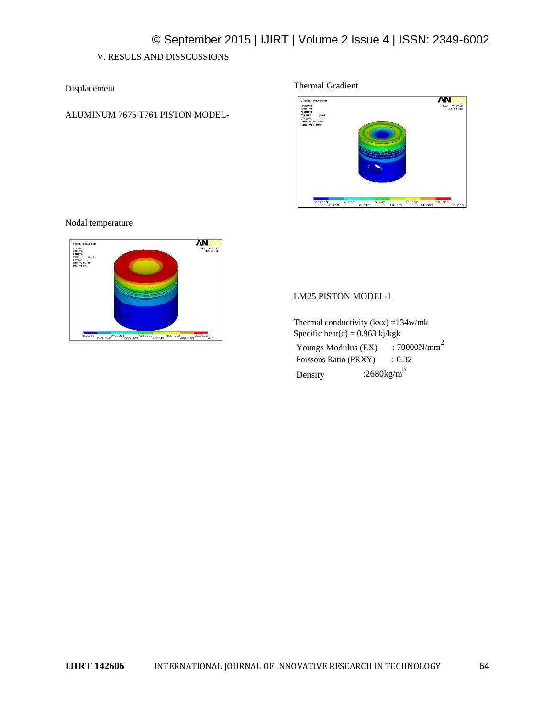## V. RESULS AND DISSCUSSIONS

Displacement

ALUMINUM 7675 T761 PISTON MODEL-

### Thermal Gradient



Nodal temperature



### LM25 PISTON MODEL-1

Thermal conductivity  $(kxx) = 134w/mk$ Specific heat $(c) = 0.963$  kj/kgk Youngs Modulus (EX) : 70000N/mm<sup>2</sup> Poissons Ratio (PRXY) : 0.32 Density  $:2680 \text{kg/m}^3$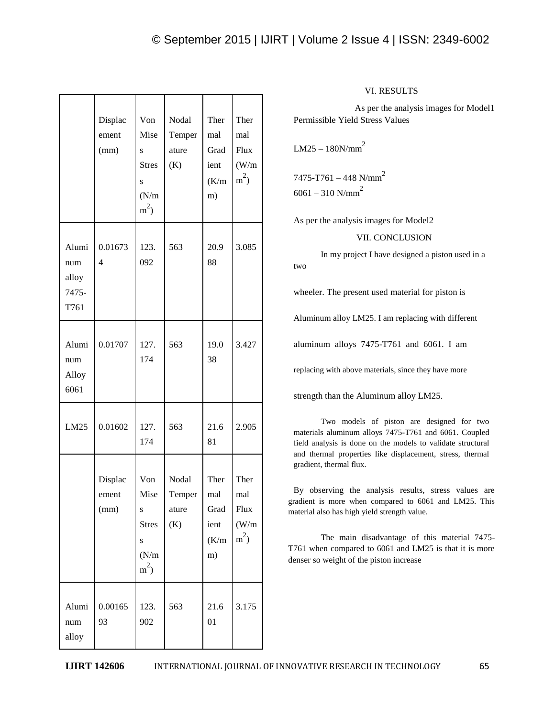|                                        | Displac<br>ement<br>(mm)  | Von<br>Mise<br>S<br><b>Stres</b><br>S<br>(N/m)<br>$m^2$           | Nodal<br>Temper<br>ature<br>(K) | Ther<br>mal<br>Grad<br>ient<br>(K/m)<br>m) | Ther<br>mal<br>Flux<br>(W/m)<br>$m^2$ |
|----------------------------------------|---------------------------|-------------------------------------------------------------------|---------------------------------|--------------------------------------------|---------------------------------------|
| Alumi<br>num<br>alloy<br>7475-<br>T761 | 0.01673<br>$\overline{4}$ | 123.<br>092                                                       | 563                             | 20.9<br>88                                 | 3.085                                 |
| Alumi<br>num<br>Alloy<br>6061          | 0.01707                   | 127.<br>174                                                       | 563                             | 19.0<br>38                                 | 3.427                                 |
| LM25                                   | 0.01602                   | 127.<br>174                                                       | 563                             | 21.6<br>81                                 | 2.905                                 |
|                                        | Displac<br>ement<br>(mm)  | Von<br>Mise<br>S<br><b>Stres</b><br>$\mathbf S$<br>(N/m)<br>$m^2$ | Nodal<br>Temper<br>ature<br>(K) | Ther<br>mal<br>Grad<br>ient<br>(K/m)<br>m) | Ther<br>mal<br>Flux<br>(W/m)<br>$m^2$ |
| Alumi<br>num<br>alloy                  | 0.00165<br>93             | 123.<br>902                                                       | 563                             | 21.6<br>01                                 | 3.175                                 |

### VI. RESULTS

As per the analysis images for Model1 Permissible Yield Stress Values

 $LM25 - 180N/mm^2$ 

7475-T761 – 448 N/mm<sup>2</sup>  $6061 - 310$  N/mm<sup>2</sup>

As per the analysis images for Model2

VII. CONCLUSION

In my project I have designed a piston used in a two

wheeler. The present used material for piston is

Aluminum alloy LM25. I am replacing with different

aluminum alloys 7475-T761 and 6061. I am

replacing with above materials, since they have more

strength than the Aluminum alloy LM25.

Two models of piston are designed for two materials aluminum alloys 7475-T761 and 6061. Coupled field analysis is done on the models to validate structural and thermal properties like displacement, stress, thermal gradient, thermal flux.

By observing the analysis results, stress values are gradient is more when compared to 6061 and LM25. This material also has high yield strength value.

The main disadvantage of this material 7475- T761 when compared to 6061 and LM25 is that it is more denser so weight of the piston increase